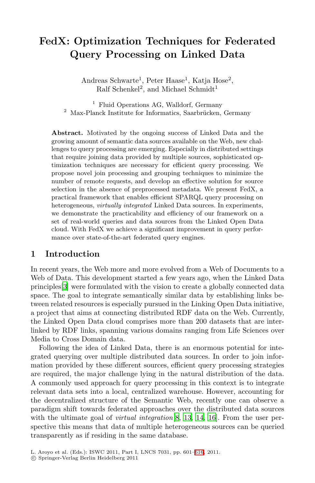# **FedX: Optimization Techniques for Federated Query Processing on Linked Data**

Andreas Schwarte<sup>1</sup>, Peter Haase<sup>1</sup>, Katja Hose<sup>2</sup>, Ralf Schenkel<sup>2</sup>, and Michael Schmidt<sup>1</sup>

<sup>1</sup> Fluid Operations AG, Walldorf, Germany  $2$  Max-Planck Institute for Informatics, Saarbrücken, Germany

**Abstract.** Motivated by the ongoing success of Linked Data and the growing amount of semantic data sources available on the Web, new challenges to query processing are emerging. Especially in distributed settings that require joining data provided by multiple sources, sophisticated optimization techniques are necessary for efficient query processing. We propose novel join processing and grouping techniques to minimize the number of remote requests, and develop an effective solution for source selection in the absence of preprocessed metadata. We present FedX, a practical framework that enables efficient SPARQL query processing on heterogeneous, *virtually integrated* Linked Data sources. In experiments, we demonstrate the practicability and efficiency of our framework on a set of real-world queries and data sources from the Linked Open Data cloud. With FedX we achieve a significant improvement in query performance over state-of-the-art federated query engines.

### **1 Introduction**

In recent years, the Web more and more evolved from a Web of Documents to a Web of Data. This development started a few years ago, when the Linked Data principles[3] were formulated with the vision to create a globally connected data space. The goal to integrate semantically similar data by establishing links between related resources is especially pursued in the Linking Open Data initiative, a project that aims at connecting distributed RDF data on the Web. Currently, the Linked Open Data cloud comprises more than 200 datasets that are interlinked by RDF links, spanning various domains ranging from Life Sciences over Media to Cross Domain data.

Following the idea of [Lin](#page-15-0)[ked](#page-15-1) [Da](#page-15-2)t[a,](#page-15-3) there is an enormous potential for integrated querying over multiple distributed data sources. In order to join information provided by these different sources, efficient query processing strategies are required, the major challenge lying in the natural distribution of the data. A commonly used approach for [que](#page-15-4)ry processing in this context is to integrate relevant data sets into a local, centralized warehouse. However, accounting for the decentralized structure of the Semantic Web, recently one can observe a paradigm shift towards federated approaches over the distributed data sources with the ultimate goal of *virtual integration*[8, 13, 14, 16]. From the user perspective this means that data of multiple heterogeneous sources can be queried transparently as if residing in the same database.

L. Aroyo et al. (Eds.): ISWC 2011, Part I, LNCS 7031, pp. 601–616, 2011.

<sup>-</sup>c Springer-Verlag Berlin Heidelberg 2011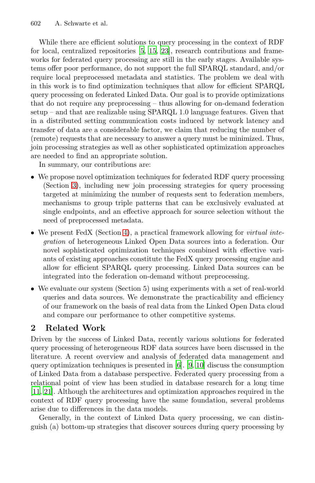While there are efficient solutions to query processing in the context of RDF for local, centralized repositories [5, 15, 23], research contributions and frameworks for federated query processing are still in the early stages. Available systems offer poor performance, do not support the full SPARQL standard, and/or require local preprocessed metadata and statistics. The problem we deal with in this work is to find optimization techniques that allow for efficient SPARQL query processing on federated Linked Data. Our goal is to provide optimizations that do not require any preprocessing  $-$  thus allowing for on-demand federation setup – and that are realizable using SPARQL 1.0 language features. Given that in a distributed setting communication costs induced by network latency and transfer of data are a considerable factor, we claim that reducing the number of (remote) requests that are necessary to answer a query must be minimized. Thus, join processing strategies as well as other sophisticated optimization approaches are needed to find an appropriate solution.

In sum[ma](#page-8-0)ry, our contributions are:

- We propose novel optimization techniques for federated RDF query processing (Section 3), including new join processing strategies for query processing targeted at minimizing the number of requests sent to federation members, mechanisms to group triple patterns that can be exclusively evaluated at single endpoints, and an effective approach for source selection without the need of preprocessed metadata.
- We present FedX (Section 4), a practical framework allowing for *virtual integration* of heterogeneous Linked Open Data sources into a federation. Our novel sophisticated optimization techniques combined with effective variants of existing approaches constitute the FedX query processing engine and allow for efficient SPARQL query processing. Linked Data sources can be integrated into the federation on-demand without preprocessing.
- We evaluate our system (Section 5) using experiments with a set of real-world queries and data sour[ces](#page-14-0). [W](#page-15-5)[e d](#page-15-6)emonstrate the practicability and efficiency of our framework on the basis of real data from the Linked Open Data cloud and compare our performance to other competitive systems.

### **2 Related Work**

Driven by the success of Linked Data, recently various solutions for federated query processing of heterogeneous RDF data sources have been discussed in the literature. A recent overview and analysis of federated data management and query optimization techniques is presented in  $[6]$ . [9, 10] discuss the consumption of Linked Data from a database perspective. Federated query processing from a relational point of view has been studied in database research for a long time [11, 21]. Although the architectures and optimization approaches required in the context of RDF query processing have the same foundation, several problems arise due to differences in the data models.

Generally, in the context of Linked Data query processing, we can distinguish (a) bottom-up strategies that discover sources during query processing by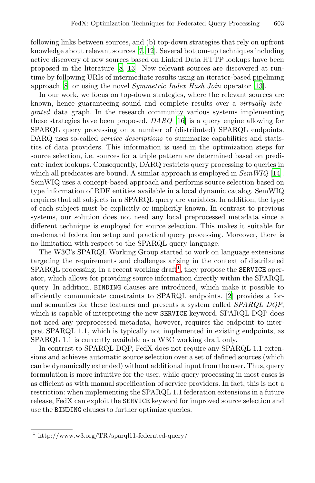following links between sources, and (b) top-down strategies that rely on upfront knowledge about relevant s[our](#page-15-3)ces [7, 12]. Several bottom-up techniques including active discovery of new sources based on Linked Data HTTP lookups have been proposed in the literature [8, 13]. New relevant sources are discovered at runtime by following URIs of intermediate results using an iterator-based pipelining approach [8] or using the novel *Symmetric Index Hash Join* operator [13].

In our work, we focus on top-down strategies, where the relevant sources are known, hence guaranteeing sound and complete result[s ov](#page-15-2)er a *virtually integrated* data graph. In the research community various systems implementing these strategies have been proposed. *DARQ* [16] is a query engine allowing for SPARQL query processing on a number of (distributed) SPARQL endpoints. DARQ uses so-called *service descriptions* to summarize capabilities and statistics of data providers. This information is used in the optimization steps for source selection, i.e. sources for a triple pattern are determined based on predicate index lookups. Consequently, DARQ restricts query processing to queries in which all predicates are bound. A similar approach is employed in *SemWIQ* [14]. SemWIQ uses a concept-based approach and performs source selection based on type information of RDF entities available in a local dynamic catalog. SemWIQ requires that all subjects i[n a](#page-2-0) SPARQL query are variables. In addition, the type of each subject must be explicitly or implicitly known. In contrast to previous systems, our solution does not need any local preprocessed metadata since a different technique is employed for source [se](#page-14-1)lection. This makes it suitable for on-demand federation setup and practical query processing. Moreover, there is no limitation with respect to the SPARQL query language.

The W3C's SPARQL Working Group started to work on language extensions targeting the requirements and challenges arising in the context of distributed  $SPARQL$  processing. In a recent working draft<sup>1</sup>, they propose the **SERVICE** operator, which allows for providing source information directly within the SPARQL query. In addition, BINDING clauses are introduced, which make it possible to efficiently communicate constraints to SPARQL endpoints. [2] provides a formal semantics for these features and presents a system called *SPARQL DQP*, which is capable of interpreting the new SERVICE keyword. SPARQL DQP does not need any preprocessed metadata, however, requires the endpoint to interpret SPARQL 1.1, which is typically not implemented in existing endpoints, as SPARQL 1.1 is currently available as a W3C working draft only.

<span id="page-2-0"></span>In contrast to SPARQL DQP, FedX does not require any SPARQL 1.1 extensions and achieves automatic source selection over a set of defined sources (which can be dynamically extended) without additional input from the user. Thus, query formulation is more intuitive for the user, while query processing in most cases is as efficient as with manual specification of service providers. In fact, this is not a restriction: when implementing the SPARQL 1.1 federation extensions in a future release, FedX can exploit the SERVICE keyword for improved source selection and use the BINDING clauses to further optimize queries.

<sup>1</sup> http://www.w3.org/TR/sparql11-federated-query/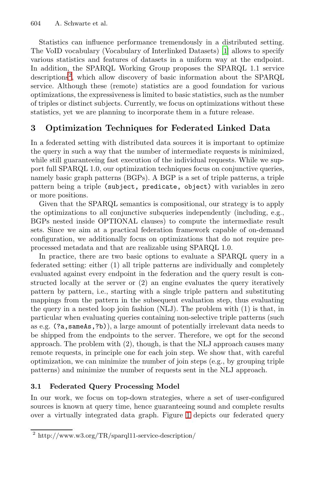Statistics can influence performance tremendously in a distributed setting. The VoID vocabulary (Vocabulary of Interlinked Datasets) [1] allows to specify various statistics and features of datasets in a uniform way at the endpoint. In addition, the SPARQL Working Group proposes the SPARQL 1.1 service descriptions<sup>2</sup>, which allow discovery of basic information about the SPARQL service. Although these (remote) statistics are a good foundation for various optimizations, the expressiveness is limited to basic statistics, such as the number of triples or distinct subjects. Currently, we focus on optimizations without these statistics, yet we are planning to incorporate them in a future release.

### **3 Optimization Techniques for Federated Linked Data**

In a federated setting with distributed data sources it is important to optimize the query in such a way that the number of intermediate requests is minimized, while still guaranteeing fast execution of the individual requests. While we support full SPARQL 1.0, our optimization techniques focus on conjunctive queries, namely basic graph patterns (BGPs). A BGP is a set of triple patterns, a triple pattern being a triple (subject, predicate, object) with variables in zero or more positions.

Given that the SPARQL semantics is compositional, our strategy is to apply the optimizations to all conjunctive subqueries independently (including, e.g., BGPs nested inside OPTIONAL clauses) to compute the intermediate result sets. Since we aim at a practical federation framework capable of on-demand configuration, we additionally focus on optimizations that do not require preprocessed metadata and that are realizable using SPARQL 1.0.

<span id="page-3-0"></span>In practice, there are two basic options to evaluate a SPARQL query in a federated setting: either (1) all triple patterns are individually and completely evaluated against every endpoint in the federation and the query result is constructed locally at the server or (2) an engine evaluates the query iteratively pattern by pattern, i.e., starting with a single triple pattern and substituting mappings from the pattern in the subsequent evaluation step, thus evaluating the query in a nested loop join fashion (NLJ). The problem with (1) is that, in particular when evaluating queries containing non-selective triple patterns (such as e.g. (?a,sameAs,?b)), a large amount of potentially irrelevant data needs to be shipped from the endpoints to the server. Therefore, we opt for the second approach. The problem with [\(2\)](#page-4-0), though, is that the NLJ approach causes many remote requests, in principle one for each join step. We show that, with careful optimization, we can minimize the number of join steps (e.g., by grouping triple patterns) and minimize the number of requests sent in the NLJ approach.

#### **3.1 Federated Query Processing Model**

In our work, we focus on top-down strategies, where a set of user-configured sources is known at query time, hence guaranteeing sound and complete results over a virtually integrated data graph. Figure 1 depicts our federated query

<sup>2</sup> http://www.w3.org/TR/sparql11-service-description/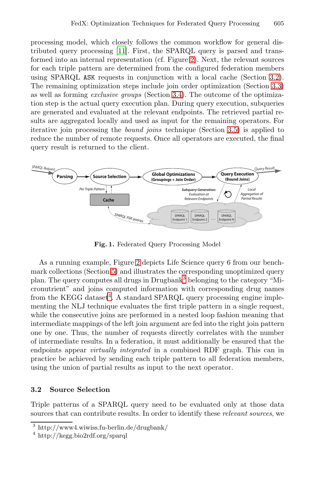<span id="page-4-0"></span>processing model, which closely follows the common workflow for general distributed query processing [11]. First, the SPARQL query is parsed and transformed into an internal representation (cf. [Fig](#page-6-1)ure 2). Next, the relevant sources for each triple pattern are determined from the configured federation members using SPARQL ASK requests in conjunction with a local cache (Section 3.2). The remaining optimization steps include join order optimization (Section 3.3) as well as forming *exclusive groups* (Section 3.4). The outcome of the optimization step is the actual query execution plan. During query execution, subqueries are generated and evaluated at the relevant endpoints. The retrieved partial results are aggregated locally and used as input for the remaining operators. For iterative join processing the *bound joins* technique (Section 3.5) is applied to reduce the number of remote requests. Once all operators are executed, the final query result is returned to the client.



**Fig. 1.** Federated Query Processing Model

As a running example, Figure 2 depicts Life Science query 6 from our benchmark collections (Section 5) and illustrates the corresponding unoptimized query plan. The query computes all drugs in Drugbank<sup>3</sup> belonging to the category "Micronutrient" and joins computed information with corresponding drug names from the KEGG dataset<sup>4</sup>. A standard SPARQL query processing engine implementing the NLJ technique evaluates the first triple pattern in a single request, while the consecutive joins are performed in a nested loop fashion meaning that intermediate mappings of the left join argument are fed into the right join pattern one by one. Thus, the number of requests directly correlates with the number of intermediate results. In a federation, it must additionally be ensured that the endpoints appear *virtually integrated* in a combined RDF graph. This can in practice be achieved by sending each triple pattern to all federation members, using the union of partial results as input to the next operator.

#### <span id="page-4-1"></span>**3.2 Source Selection**

Triple patterns of a SPARQL query need to be evaluated only at those data sources that can contribute results. In order to identify these *relevant sources*, we

<sup>3</sup> http://www4.wiwiss.fu-berlin.de/drugbank/

<sup>4</sup> http://kegg.bio2rdf.org/sparql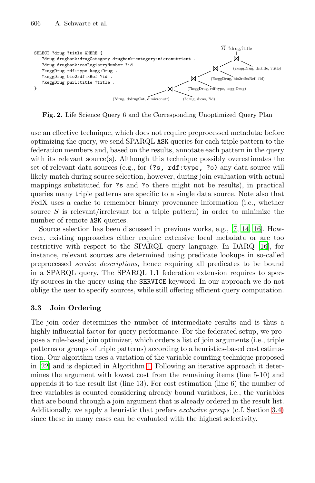

**Fig. 2.** Life Science Query 6 and the Corresponding Unoptimized Query Plan

use an effective technique, which does not require preprocessed metadata: before optimizing the query, we send SPARQL ASK queries for each triple pattern to the federation members and, based on the results, annotate each pattern in the query with its relevant source(s). Although this t[ech](#page-15-7)[niq](#page-15-2)[ue p](#page-15-3)ossibly overestimates the set of relevant data sources (e.g., for (?s, rdf:type, ?o) any data source will likely match during source selection, however, during [joi](#page-15-3)n evaluation with actual mappings substituted for ?s and ?o there might not be results), in practical queries many triple patterns are specific to a single data source. Note also that FedX uses a cache to remember binary provenance information (i.e., whether source  $S$  is relevant/irrelevant for a triple pattern) in order to minimize the number of remote ASK queries.

<span id="page-5-0"></span>Source selection has been discussed in previous works, e.g., [7, 14, 16]. However, existing approaches either require extensive local metadata or are too restrictive with respect to the SPARQL query language. In DARQ [16], for instance, relevant sources are determined using predicate lookups in so-called preprocessed *service descriptions*, hence requiring all predicates to be bound in a SPARQL query. The SPARQL 1.1 federation extension requires to specify sources in the query using the SERVICE keyword. In our approach we do not oblige the user to specify sources, while still offering efficient query computation.

### **3.3 Join Ordering**

The join order determines the number of intermediate results and is thus a highly influential factor for query performance. For the federated setup, we propose a rule-based join optimizer, which orders a list of joi[n ar](#page-6-0)guments (i.e., triple patterns or groups of triple patterns) according to a heuristics-based cost estimation. Our algorithm uses a variation of the variable counting technique proposed in [22] and is depicted in Algorithm 1. Following an iterative approach it determines the argument with lowest cost from the remaining items (line 5-10) and appends it to the result list (line 13). For cost estimation (line 6) the number of free variables is counted considering already bound variables, i.e., the variables that are bound through a join argument that is already ordered in the result list. Additionally, we apply a heuristic that prefers *exclusive groups* (c.f. Section 3.4) since these in many cases can be evaluated with the highest selectivity.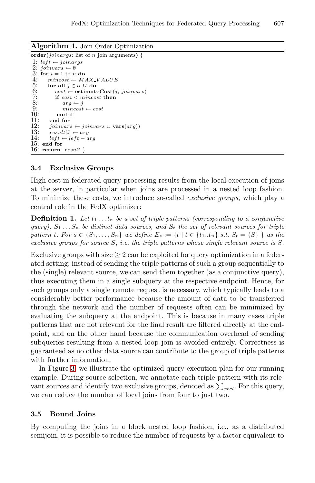**Algorithm 1.** Join Order Optimization

```
order(joinargs: list of n join arguments) {
 1: left \leftarrow \text{joinargs}<br>2: \text{joinvars} \leftarrow \emptyset2: joinvars \leftarrow \emptyset<br>3: for i = 1 to n do<br>4: mincost \leftarrow M4: mincost \leftarrow MAX\_VALUE<br>5: for all i \in left do
 5: for all j \in left do<br>6: cost \leftarrow estimate<br>7: if cost < minco.<br>8: arg \leftarrow jcost \leftarrow estimateCost(i, ionvars)7: if cost < mincost then
 8: \arg \leftarrow j<br>9. \min_{\text{meas }i}9: mincost \leftarrow cost<br>10: end if<br>11: end for
                   end if
11: end for
12: joinvars ← joinvars ∪ vars(arg))<br>13: result[i] \leftarrow arg13: result[i] \leftarrow arg<br>
14: left \leftarrow left - arg<br>
15: end for
15: end for
16: return result }
```
### **3.4 Exclusive Groups**

High cost in federated query processing results from the local execution of joins at the server, in particular when joins are processed in a nested loop fashion. To minimize these costs, we introduce so-called *exclusive groups*, which play a central role in the FedX optimizer:

**Definition 1.** Let  $t_1 \ldots t_n$  be a set of triple patterns (corresponding to a conjunctive *query*),  $S_1 \ldots S_n$  *be distinct data sources, and*  $S_t$  *the set of relevant sources for triple pattern t.* For  $s \in \{S_1, \ldots, S_n\}$  *we define*  $E_s := \{t \mid t \in \{t_1..t_n\} \text{ s.t. } S_t = \{S\} \}$  *as the exclusive groups for source S, i.e. the triple patterns whose single relevant source is S.*

Exclusive groups with size  $\geq 2$  can be exploited for query optimization in a federated setting: instead of sending the triple patterns of such a group sequentially to the (single) relevant source, we can send them together (as a conjunctive query), thus executing them in a single subquery at the respective endpoint. Hence, for such groups only a single remote request is necessary, which typically leads to a considerably better performance because the amount of data to be transferred through the network and the number of requests often can be minimized by evaluating the subquery at the endpoint. This is because in many cases triple patterns that are not relevant for the final result are filtered directly at the endpoint, and on the other hand because the communication overhead of sending subqueries resulting from a nested loop join is avoided entirely. Correctness is guaranteed as no other data source can contribute to the group of triple patterns with further information.

<span id="page-6-1"></span>In Figure 3, we illustrate the optimized query execution plan for our running example. During source selection, we annotate each triple pattern with its relevant sources and identify two exclusive groups, denoted as  $\sum_{excl}$ . For this query, we can reduce the number of local joins from four to just two.

#### **3.5 Bound Joins**

By computing the joins in a block nested loop fashion, i.e., as a distributed semijoin, it is possible to reduce the number of requests by a factor equivalent to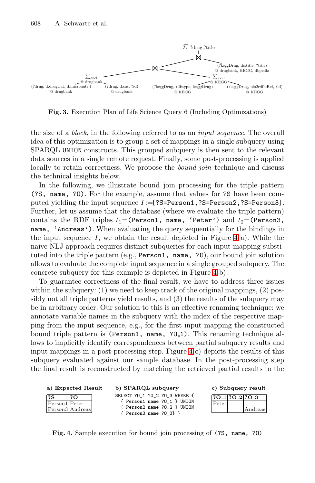

**Fig. 3.** Execution Plan of Life Science Query 6 (Including Optimizations)

the size of a *block*, in the following referred to as an *input sequence*. The overall idea of this optimization is to group a set of mappings in a single subquery using SPARQL UNION constructs. This grouped subquery is then sent to the relevant data sources in a single remote request. Finally, some post-processing is applied locally to retain correctness. We propose th[e](#page-7-0) *bound join* technique and discuss the technical insights below.

In the following, we illustrate bound join processing for the triple pattern (?S, name, ?O). For the example, assume that values for ?S have been computed yielding the input sequence *I* :=[\[?](#page-7-0)S=Person1,?S=Person2,?S=Person3]. Further, let us assume that the database (where we evaluate the triple pattern) contains the RDF triples  $t_1$ =(Person1, name, 'Peter') and  $t_2$ =(Person3, name, 'Andreas'). When evaluating the query sequentially for the bindings in the input sequence  $I$ , we obtain the result depicted in Figure 4 a). While the naive NLJ approach requires distinct subqueries for each input mapping substituted into the triple pattern (e.g., Person1, name, ?O), our bound join solution allows to evaluate the complete input sequence in a single grouped subquery. The concrete subquery for this example is depicted in Figure 4 b).

<span id="page-7-0"></span>To guarantee correctness of [t](#page-7-0)he final result, we have to address three issues within the subquery:  $(1)$  we need to keep track of the original mappings,  $(2)$  possibly not all triple patterns yield results, and (3) the results of the subquery may be in arbitrary order. Our solution to this is an effective renaming technique: we annotate variable names in the subquery with the index of the respective mapping from the input sequence, e.g., for the first input mapping the constructed bound triple pattern is (Person1, name, ?0\_1). This renaming technique allows to implicitly identify correspondences between partial subquery results and input mappings in a post-processing step. Figure 4 c) depicts the results of this subquery evaluated against our sample database. In the post-processing step the final result is reconstructed by matching the retrieved partial results to the



**Fig. 4.** Sample execution for bound join processing of (?S, name, ?O)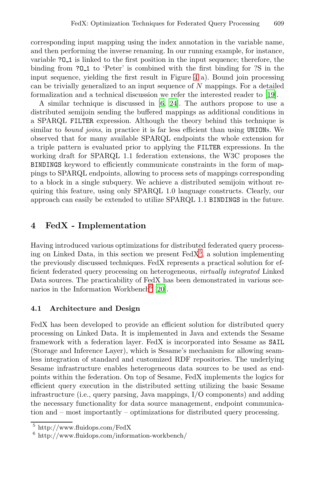corresponding input [ma](#page-14-0)[ppi](#page-15-9)ng using the index annotation in the variable name, and then performing the inverse renaming. In our running example, for instance, variable ?0<sub>-1</sub> is linked to the first position in the input sequence; therefore, the binding from ?0.1 to 'Peter' is combined with the first binding for ?S in the input sequence, yielding the first result in Figure 4 a). Bound join processing can be trivially generalized to an input sequence of *N* mappings. For a detailed formalization and a technical discussion we refer the interested reader to [19].

<span id="page-8-0"></span>A similar technique is discussed in [6, 24]. The authors propose to use a distributed semijoin sending the buffered mappings as additional conditions in a SPARQL FILTER expression. Although the theory behind this technique is similar to *bound joins*, in practice it is far less efficient than using UNIONs. We observed that for many available SPARQL endpoints the whole extension for a triple pattern is evaluated prior to applying the FILTER expressions. In the working draft for SPARQL 1.1 federation extensions, the W3C proposes the BINDINGS keyword to efficiently communicate constraints in the form of mappings to SPARQL endpoints, allowing to process sets of mappings corresponding to a block in a single subquery. [W](#page-8-1)e achieve a distributed semijoin without requiring this feature, using only SPARQL 1.0 language constructs. Clearly, our approach can easily be extended to utilize SPARQL 1.1 BINDINGS in the future.

### **4 FedX - I[mp](#page-8-2)[lem](#page-15-10)entation**

Having introduced various optimizations for distributed federated query processing on Linked Data, in this section we present  $\text{FedX}^5$ , a solution implementing the previously discussed techniques. FedX represents a practical solution for efficient federated query processing on heterogeneous, *virtually integrated* Linked Data sources. The practicability of FedX has been demonstrated in various scenarios in the Information Workbench<sup>6</sup> [20].

### **4.1 Architecture and Design**

<span id="page-8-2"></span><span id="page-8-1"></span>FedX has been developed to provide an efficient solution for distributed query processing on Linked Data. It is implemented in Java and extends the Sesame framework with a federation layer. FedX is incorporated into Sesame as SAIL (Storage and Inference Layer), which is Sesame's mechanism for allowing seamless integration of standard and customized RDF repositories. The underlying Sesame infrastructure enables heterogeneous data sources to be used as endpoints within the federation. On top of Sesame, FedX implements the logics for efficient query execution in the distributed setting utilizing the basic Sesame infrastructure (i.e., query parsing, Java mappings, I/O components) and adding the necessary functionality for data source management, endpoint communication and – most importantly – optimizations for distributed query processing.

<sup>5</sup> http://www.fluidops.com/FedX

 $6$  http://www.fluidops.com/information-workbench/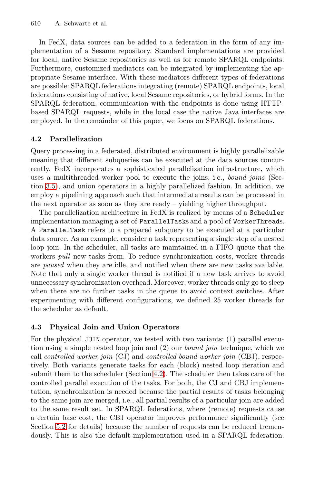<span id="page-9-0"></span>In FedX, data sources can be added to a federation in the form of any implementation of a Sesame repository. Standard implementations are provided for local, native Sesame repositories as well as for remote SPARQL endpoints. Furthermore, customized mediators can be integrated by implementing the appropriate Sesame interface. With these mediators different types of federations are possible: SPARQL federations integrating (remote) SPARQL endpoints, local federations consisting of native, local Sesame repositories, or hybrid forms. In the SPARQL federation, communication with the endpoints is done using HTTPbased SPARQL requests, while in the local case the native Java interfaces are employed. In the remainder of this paper, we focus on SPARQL federations.

#### **4.2 Parallelization**

Query processing in a federated, distributed environment is highly parallelizable meaning that different subqueries can be executed at the data sources concurrently. FedX incorporates a sophisticated parallelization infrastructure, which uses a multithreaded worker pool to execute the joins, i.e., *bound joins* (Section 3.5), and union operators in a highly parallelized fashion. In addition, we employ a pipelining approach such that intermediate results can be processed in the next operator as soon as they are ready – yielding higher throughput.

The parallelization architecture in FedX is realized by means of a Scheduler implementation managing a set of ParallelTasks and a pool of WorkerThreads. A ParallelTask refers to a prepared subquery to be executed at a particular data source. As an example, consider a task representing a single step of a nested loop join. In the scheduler, all tasks are maintained in a FIFO queue that the workers *pull* new tasks from. To reduce synchronization costs, worker threads are *paused* when they are idle, and notified when there are new tasks available. Note that only a single worker thread is notified if a new task arrives to avoid unnecessary synchronization overhead. Moreover, worker threads only go to sleep when there are no further tasks in the queue to avoid context switches. After experimenting with different configurations, we defined 25 worker threads for the scheduler as de[faul](#page-9-0)t.

### **4.3 Physical Join and Union Operators**

For the physical JOIN operator, we tested with two variants: (1) parallel execution using a simple nested loop join and (2) our *bound join* technique, which we call *controlled worker join* (CJ) and *controlled bound worker join* (CBJ), respectively. Both variants generate tasks for each (block) nested loop iteration and submit them to the scheduler (Section 4.2). The scheduler then takes care of the controlled parallel execution of the tasks. For both, the CJ and CBJ implementation, synchronization is needed because the partial results of tasks belonging to the same join are merged, i.e., all partial results of a particular join are added to the same result set. In SPARQL federations, where (remote) requests cause a certain base cost, the CBJ operator improves performance significantly (see Section 5.2 for details) because the number of requests can be reduced tremendously. This is also the default implementation used in a SPARQL federation.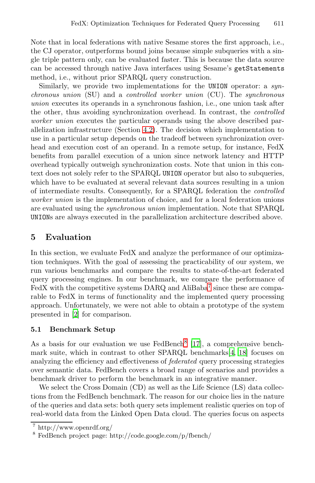Note that in local federations with native Sesame stores the first approach, i.e., the CJ operator, outperforms bound joins because simple subqueries with a single triple patter[n on](#page-9-0)ly, can be evaluated faster. This is because the data source can be accessed through native Java interfaces using Sesame's getStatements method, i.e., without prior SPARQL query construction.

Similarly, we provide two implementations for the UNION operator: a *synchronous union* (SU) and a *controlled worker union* (CU). The *synchronous union* executes its operands in a synchronous fashion, i.e., one union task after the other, thus avoiding synchronization overhead. In contrast, the *controlled worker union* executes the particular operands using the above described parallelization infrastructure (Section 4.2). The decision which implementation to use in a particular setup depends on the tradeoff between synchronization overhead and execution cost of an operand. In a remote setup, for instance, FedX benefits from parallel execution of a union since network latency and HTTP overhead typically outweigh synchronization costs. Note that union in this context does not solely refer to the SPARQL UNION operator but also to subqueries, which have to be evaluated at several relevant data sources resulting in a union of intermediate results. Consequently, for a SPARQL federation the *controlled worker union* is the implementation of choice, and for a local federation unions are evaluated using the *synchronous union* implementation. Note that SPARQL UNIONs are always executed in the p[ar](#page-10-0)allelization architecture described above.

### **5 Evaluation**

In this section, we evaluate FedX and analyze the performance of our optimization techniques. With the goal of assessing the practicability of our system, we run various benchmarks and compare the results to state-of-the-art federated query processing engines. I[n](#page-10-1) [o](#page-10-1)[ur](#page-15-11) benchmark, we compare the performance of FedX with the competitive systems DARQ [an](#page-14-2)[d](#page-15-12) [A](#page-15-12)liBaba<sup>7</sup> since these are comparable to FedX in terms of functionality and the implemented query processing approach. Unfortunately, we were not able to obtain a prototype of the system presented in [2] for comparison.

### **5.1 Benchmark Setup**

As a basis for our evaluation we use  $\text{FedBench}^{8}$  [17], a comprehensive benchmark suite, which in contrast to other SPARQL benchmarks[4, 18] focuses on analyzing the efficiency and effectiveness of *federated* query processing strategies over semantic data. FedBench covers a broad range of scenarios and provides a benchmark driver to perform the benchmark in an integrative manner.

<span id="page-10-1"></span><span id="page-10-0"></span>We select the Cross Domain (CD) as well as the Life Science (LS) data collections from the FedBench benchmark. The reason for our choice lies in the nature of the queries and data sets: both query sets implement realistic queries on top of real-world data from the Linked Open Data cloud. The queries focus on aspects

<sup>7</sup> http://www.openrdf.org/

<sup>8</sup> FedBench project page: http://code.google.com/p/fbench/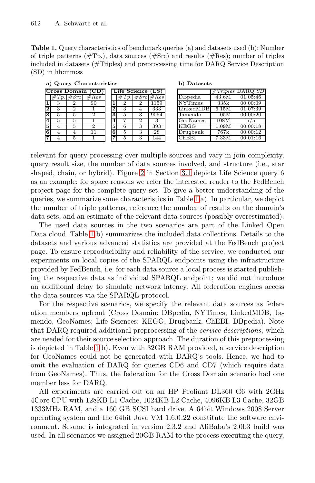<span id="page-11-0"></span>**Table 1.** Query characteristics of benchmark queries (a) and datasets used (b): Number of triple patterns ( $\#\text{Tp}$ ), data sources ( $\#\text{Src}$ ) and results ( $\#\text{Res}$ ); number of triples included in datasets (#Triples) and preprocessing time for DARQ Service Description (SD) in hh:mm:ss

| a) Query Characteristics |      |      |         |              |                   |      |      |  | b) Datasets    |              |                     |  |
|--------------------------|------|------|---------|--------------|-------------------|------|------|--|----------------|--------------|---------------------|--|
| Cross Domain (CD)        |      |      |         |              | Life Science (LS) |      |      |  |                |              | $\#Triples$ DARQ SD |  |
|                          | #Tp. | #Src | $\#Res$ |              | #Tp.              | #Src | #Res |  | $DB$ pedia     | 43.6M        | 01:05:46            |  |
|                          |      |      | 90      |              | 2                 |      | 1159 |  | <b>NYTimes</b> | 335k         | 00:00:09            |  |
| $\mathbf 2$              | з    | 2    |         | $\mathbf{r}$ | 3                 | 4    | 333  |  | LinkedMDB      | 6.15M        | 01:07:39            |  |
| 3                        | .,   | 5    | 2       | 3            | 5                 |      | 9054 |  | Jamendo        | 1.05M        | 00:00:20            |  |
|                          |      | 5    |         |              |                   |      | 3    |  | GeoNames       | 108M         | 'a<br>n.            |  |
| 5                        |      | 5    |         | 5            | 6                 |      | 393  |  | KEGG           | $1.09\rm{M}$ | 00:00:18            |  |
| 6                        |      | 4    |         | 6            | 5                 |      | 28   |  | Drugbank       | 767k         | 00:00:12            |  |
|                          |      | 5    |         |              | 5                 |      | 144  |  | ChEBI          | 7.33M        | 00:01:16            |  |
|                          |      |      |         |              |                   |      |      |  |                |              |                     |  |

relevant for query processing over multiple sources and vary in join complexity, [q](#page-11-0)uery result size, the number of data sources involved, and structure (i.e., star shaped, chain, or hybrid). Figure 2 in Section 3.1 depicts Life Science query 6 as an example; for space reasons we refer the interested reader to the FedBench project page for the complete query set. To give a better understanding of the queries, we summarize some characteristics in Table 1 a). In particular, we depict the number of triple patterns, reference the number of results on the domain's data sets, and an estimate of the relevant data sources (possibly overestimated).

The used data sources in the two scenarios are part of the Linked Open Data cloud. Table 1 b) summarizes the included data collections. Details to the datasets and various advanced statistics are provided at the FedBench project page. To ensure reproducibility and reliability of the service, we conducted our experiments on local copies of the SPARQL endpoints using the infrastructure provided by FedBench, i.e. for each data source a local process is started publishi[ng](#page-11-0) the respective data as individual SPARQL endpoint; we did not introduce an additional delay to simulate network latency. All federation engines access the data sources via the SPARQL protocol.

For the respective scenarios, we specify the relevant data sources as federation members upfront (Cross Domain: DBpedia, NYTimes, LinkedMDB, Jamendo, GeoNames; Life Sciences: KEGG, Drugbank, ChEBI, DBpedia). Note that DARQ required additional preprocessing of the *service descriptions*, which are needed for their source selection approach. The duration of this preprocessing is depicted in Table 1 b). Even with 32GB RAM provided, a service description for GeoNames could not be generated with DARQ's tools. Hence, we had to omit the evaluation of DARQ for queries CD6 and CD7 (which require data from GeoNames). Thus, the federation for the Cross Domain scenario had one member less for DARQ.

All experiments are carried out on an HP Proliant DL360 G6 with 2GHz 4Core CPU with 128KB L1 Cache, 1024KB L2 Cache, 4096KB L3 Cache, 32GB 1333MHz RAM, and a 160 GB SCSI hard drive. A 64bit Windows 2008 Server operating system and the 64bit Java VM 1.6.0 22 constitute the software environment. Sesame is integrated in version 2.3.2 and AliBaba's 2.0b3 build was used. In all scenarios we assigned 20GB RAM to the process executing the query,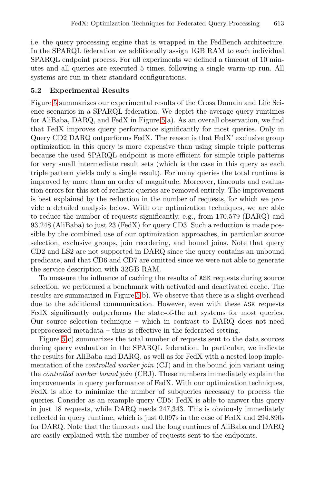i.e. the query processing engine that is wrapped in the FedBench architecture. In the SPARQL feder[at](#page-13-0)ion we additionally assign 1GB RAM to each individual SPARQL endpoint process. For all experiments we defined a timeout of 10 minutes and all queries are executed 5 times, following a single warm-up run. All systems are run in their standard configurations.

### **5.2 Experimental Results**

Figure 5 summarizes our experimental results of the Cross Domain and Life Science scenarios in a SPARQL federation. We depict the average query runtimes for AliBaba, DARQ, and FedX in Figure 5 a). As an overall observation, we find that FedX improves query performance significantly for most queries. Only in Query CD2 DARQ outperforms FedX. The reason is that FedX' exclusive group optimization in this query is more expensive than using simple triple patterns because the used SPARQL endpoint is more efficient for simple triple patterns for very small intermediate result sets (which is the case in this query as each triple pattern yields only a single result). For many queries the total runtime is improved by more than an order of magnitude. Moreover, timeouts and evaluation errors for this set of realistic queries are removed entirely. The improvement is best explained by the reduction in the number of requests, for which we provide a detailed analysis below. With our optimization techniques, we are able to reduce the number of requests significantly, e.g., from 170,579 (DARQ) and 93,248 (AliBa[ba](#page-13-0)) to just 23 (FedX) for query CD3. Such a reduction is made possible by the combined use of our optimization approaches, in particular source selection, exclusive groups, join reordering, and bound joins. Note that query CD2 and LS2 are not supported in DARQ since the query contains an unbound predicate, and that CD6 and CD7 are omitted since we were not able to generate the service description with 32GB RAM.

To measure the influence of caching the results of ASK requests during source selection, we performed a benchmark with activated and deactivated cache. The results are summarized in Figure 5 b). We observe that there is a slight overhead due to the additional communication. However, even with these ASK requests FedX significantly outperforms the state-of-the art systems for most queries. Our source selection technique – which in contrast to DARQ does not need preprocessed metadata – thus is effective in the federated setting.

Figure 5 c) summarizes the total number of requests sent to the data sources during query evaluation in the SPARQL federation. In particular, we indicate the results for AliBaba and DARQ, as well as for FedX with a nested loop implementation of the *controlled worker join* (CJ) and in the bound join variant using the *controlled worker bound join* (CBJ). These numbers immediately explain the improvements in query performance of FedX. With our optimization techniques, FedX is able to minimize the number of subqueries necessary to process the queries. Consider as an example query CD5: FedX is able to answer this query in just 18 requests, while DARQ needs 247,343. This is obviously immediately reflected in query runtime, which is just 0.097s in the case of FedX and 294.890s for DARQ. Note that the timeouts and the long runtimes of AliBaba and DARQ are easily explained with the number of requests sent to the endpoints.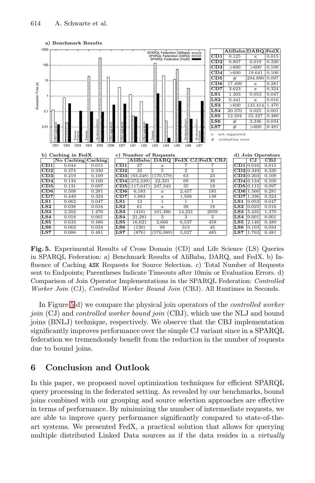<span id="page-13-0"></span>

**Fig. 5.** Experimental Results of Cross Domain (CD) and Life Science (LS) Queries in SPARQL Federation: a) Benchmark Results of AliBaba, DARQ, and FedX. b) Influence of Caching ASK Requests for Source Selection. c) Total Number of Requests sent to Endpoints; Parentheses Indicate Timeouts after 10min or Evaluation Errors. d) Comparison of Join Operator Implementations in the SPARQL Federation: *Controlled Worker Join* (CJ), *Controlled Worker Bound Join* (CBJ). All Runtimes in Seconds.

In Figure 5 d) we compare the physical join operators of the *controlled worker join* (CJ) and *controlled worker bound join* (CBJ), which use the NLJ and bound joins (BNLJ) technique, respectively. We observe that the CBJ implementation significantly improves performance over the simple CJ variant since in a SPARQL federation we tremendously benefit from the reduction in the number of requests due to bound joins.

## **6 Conclusion and Outlook**

In this paper, we proposed novel optimization techniques for efficient SPARQL query processing in the federated setting. As revealed by our benchmarks, bound joins combined with our grouping and source selection approaches are effective in terms of performance. By minimizing the number of intermediate requests, we are able to improve query performance significantly compared to state-of-theart systems. We presented FedX, a practical solution that allows for querying multiple distributed Linked Data sources as if the data resides in a *virtually*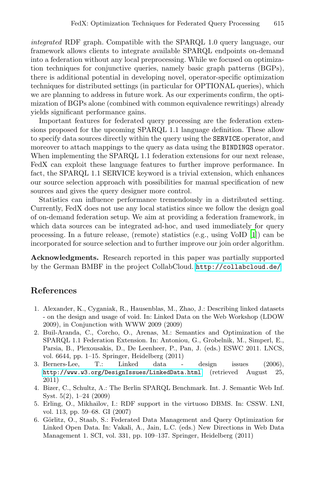*integrated* RDF graph. Compatible with the SPARQL 1.0 query language, our framework allows clients to integrate available SPARQL endpoints on-demand into a federation without any local preprocessing. While we focused on optimization techniques for conjunctive queries, namely basic graph patterns (BGPs), there is additional potential in developing novel, operator-specific optimization techniques for distributed settings (in particular for OPTIONAL queries), which we are planning to address in future work. As our experiments confirm, the optimization of BGPs alone (combined with common equivalence rewritings) already yields significant performance gains.

Important features for federated query processing are the federation extensions proposed for the upcoming SPARQL 1.1 language definition. These allow to specify data sources directly within the query using the SERVICE operator, and moreover to attach mappings to the query as data using the BINDINGS operator. When implementing the SPARQL 1.1 federation extensions for our next release, FedX can exploit these language features to furt[he](#page-14-3)r improve performance. In fact, the SPARQL 1.1 SERVICE keyword is a trivial extension, which enhances our source selection approach with possibilities for manual specification of new sources and gives the query designer more control.

Statistics can influence perfo[rmance tremendously in a](http://collabcloud.de/) distributed setting. Currently, FedX does not use any local statistics since we follow the design goal of on-demand federation setup. We aim at providing a federation framework, in which data sources can be integrated ad-hoc, and used immediately for query processing. In a future release, (remote) statistics (e.g., using VoID [1]) can be incorporated for source selection and to further improve our join order algorithm.

<span id="page-14-3"></span><span id="page-14-1"></span>**Acknowledgments.** Research reported in this paper was partially supported by the German BMBF in the project CollabCloud. http://collabcloud.de/

# **References**

- [1.](http://www.w3.org/DesignIssues/LinkedData.html) [Alexander,](http://www.w3.org/DesignIssues/LinkedData.html) [K.,](http://www.w3.org/DesignIssues/LinkedData.html) [Cyganiak,](http://www.w3.org/DesignIssues/LinkedData.html) [R.,](http://www.w3.org/DesignIssues/LinkedData.html) [Hau](http://www.w3.org/DesignIssues/LinkedData.html)senblas, M., Zhao, J.: Describing linked datasets - on the design and usage of void. In: Linked Data on the Web Workshop (LDOW 2009), in Conjunction with WWW 2009 (2009)
- <span id="page-14-2"></span>2. Buil-Aranda, C., Corcho, O., Arenas, M.: Semantics and Optimization of the SPARQL 1.1 Federation Extension. In: Antoniou, G., Grobelnik, M., Simperl, E., Parsia, B., Plexousakis, D., De Leenheer, P., Pan, J. (eds.) ESWC 2011. LNCS, vol. 6644, pp. 1–15. Springer, Heidelberg (2011)
- <span id="page-14-0"></span>3. Berners-Lee, T.: Linked data - design issues (2006), http://www.w3.org/DesignIssues/LinkedData.html (retrieved August 25, 2011)
- 4. Bizer, C., Schultz, A.: The Berlin SPARQL Benchmark. Int. J. Semantic Web Inf. Syst. 5(2), 1–24 (2009)
- 5. Erling, O., Mikhailov, I.: RDF support in the virtuoso DBMS. In: CSSW. LNI, vol. 113, pp. 59–68. GI (2007)
- 6. Görlitz, O., Staab, S.: Federated Data Management and Query Optimization for Linked Open Data. In: Vakali, A., Jain, L.C. (eds.) New Directions in Web Data Management 1. SCI, vol. 331, pp. 109–137. Springer, Heidelberg (2011)